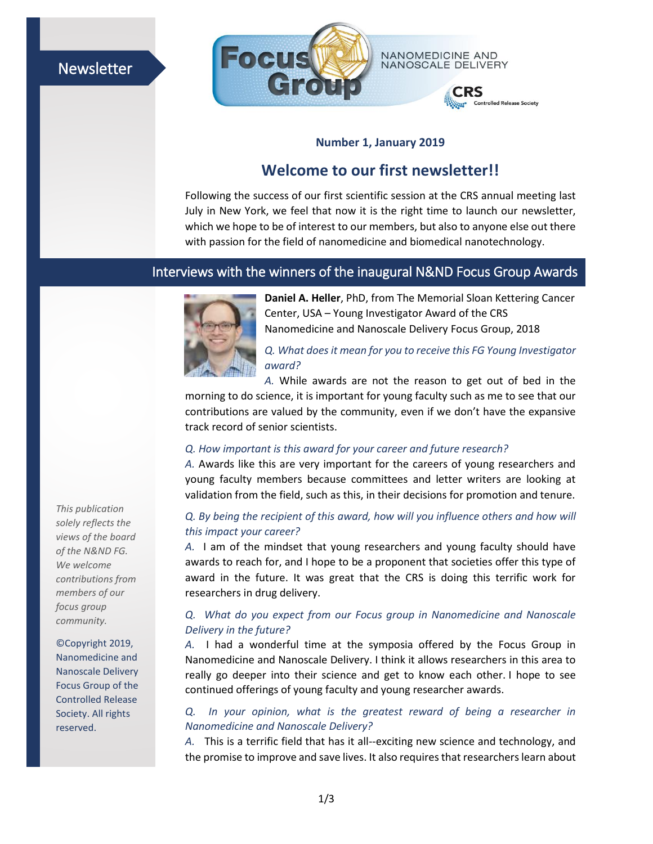# Newsletter



## **Number 1, January 2019**

# **Welcome to our first newsletter!!**

Following the success of our first scientific session at the CRS annual meeting last July in New York, we feel that now it is the right time to launch our newsletter, which we hope to be of interest to our members, but also to anyone else out there with passion for the field of nanomedicine and biomedical nanotechnology.

## Interviews with the winners of the inaugural N&ND Focus Group Awards



**Daniel A. Heller**, PhD, from The Memorial Sloan Kettering Cancer Center, USA – Young Investigator Award of the CRS Nanomedicine and Nanoscale Delivery Focus Group, 2018

*Q. What does it mean for you to receive this FG Young Investigator award?*

*A.* While awards are not the reason to get out of bed in the morning to do science, it is important for young faculty such as me to see that our contributions are valued by the community, even if we don't have the expansive track record of senior scientists.

#### *Q. How important is this award for your career and future research?*

*A.* Awards like this are very important for the careers of young researchers and young faculty members because committees and letter writers are looking at validation from the field, such as this, in their decisions for promotion and tenure.

#### *Q. By being the recipient of this award, how will you influence others and how will this impact your career?*

*A.* I am of the mindset that young researchers and young faculty should have awards to reach for, and I hope to be a proponent that societies offer this type of award in the future. It was great that the CRS is doing this terrific work for researchers in drug delivery.

### *Q. What do you expect from our Focus group in Nanomedicine and Nanoscale Delivery in the future?*

*A.* I had a wonderful time at the symposia offered by the Focus Group in Nanomedicine and Nanoscale Delivery. I think it allows researchers in this area to really go deeper into their science and get to know each other. I hope to see continued offerings of young faculty and young researcher awards.

## *Q. In your opinion, what is the greatest reward of being a researcher in Nanomedicine and Nanoscale Delivery?*

*A.* This is a terrific field that has it all--exciting new science and technology, and the promise to improve and save lives. It also requires that researchers learn about

*This publication solely reflects the views of the board of the N&ND FG. We welcome contributions from members of our focus group community.*

©Copyright 2019, Nanomedicine and Nanoscale Delivery Focus Group of the Controlled Release Society. All rights reserved.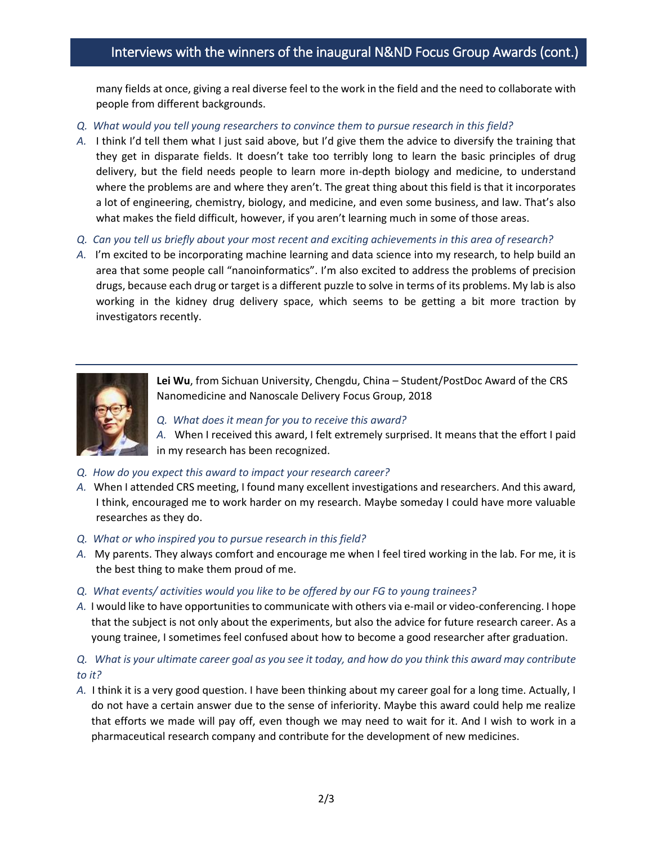# Interviews with the winners of the inaugural N&ND Focus Group Awards (cont.)

many fields at once, giving a real diverse feel to the work in the field and the need to collaborate with people from different backgrounds.

- *Q. What would you tell young researchers to convince them to pursue research in this field?*
- *A.* I think I'd tell them what I just said above, but I'd give them the advice to diversify the training that they get in disparate fields. It doesn't take too terribly long to learn the basic principles of drug delivery, but the field needs people to learn more in-depth biology and medicine, to understand where the problems are and where they aren't. The great thing about this field is that it incorporates a lot of engineering, chemistry, biology, and medicine, and even some business, and law. That's also what makes the field difficult, however, if you aren't learning much in some of those areas.
- *Q. Can you tell us briefly about your most recent and exciting achievements in this area of research?*
- *A.* I'm excited to be incorporating machine learning and data science into my research, to help build an area that some people call "nanoinformatics". I'm also excited to address the problems of precision drugs, because each drug or target is a different puzzle to solve in terms of its problems. My lab is also working in the kidney drug delivery space, which seems to be getting a bit more traction by investigators recently.



**Lei Wu**, from Sichuan University, Chengdu, China – Student/PostDoc Award of the CRS Nanomedicine and Nanoscale Delivery Focus Group, 2018

*Q. What does it mean for you to receive this award?*

*A.* When I received this award, I felt extremely surprised. It means that the effort I paid in my research has been recognized.

- *Q. How do you expect this award to impact your research career?*
- *A.* When I attended CRS meeting, I found many excellent investigations and researchers. And this award, I think, encouraged me to work harder on my research. Maybe someday I could have more valuable researches as they do.
- *Q. What or who inspired you to pursue research in this field?*
- *A.* My parents. They always comfort and encourage me when I feel tired working in the lab. For me, it is the best thing to make them proud of me.
- *Q. What events/ activities would you like to be offered by our FG to young trainees?*
- *A.* I would like to have opportunities to communicate with others via e-mail or video-conferencing. I hope that the subject is not only about the experiments, but also the advice for future research career. As a young trainee, I sometimes feel confused about how to become a good researcher after graduation.

### *Q. What is your ultimate career goal as you see it today, and how do you think this award may contribute to it?*

*A.* I think it is a very good question. I have been thinking about my career goal for a long time. Actually, I do not have a certain answer due to the sense of inferiority. Maybe this award could help me realize that efforts we made will pay off, even though we may need to wait for it. And I wish to work in a pharmaceutical research company and contribute for the development of new medicines.